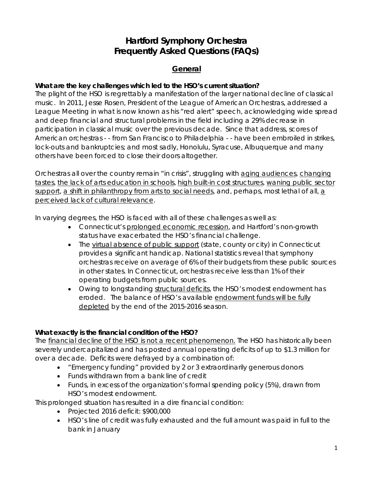# **Hartford Symphony Orchestra Frequently Asked Questions (FAQs)**

# **General**

# **What are the key challenges which led to the HSO's current situation?**

The plight of the HSO is regrettably a manifestation of the larger national decline of classical music. In 2011, Jesse Rosen, President of the League of American Orchestras, addressed a League Meeting in what is now known as his "red alert" speech, acknowledging wide spread and deep financial and structural problems in the field including a 29% decrease in participation in classical music over the previous decade. Since that address, scores of American orchestras - - from San Francisco to Philadelphia - - have been embroiled in strikes, lock-outs and bankruptcies; and most sadly, Honolulu, Syracuse, Albuquerque and many others have been forced to close their doors altogether.

Orchestras all over the country remain "in crisis", struggling with aging audiences, changing tastes, the lack of arts education in schools, high built-in cost structures, waning public sector support, a shift in philanthropy from arts to social needs, and, perhaps, most lethal of all, a perceived lack of cultural relevance.

In varying degrees, the HSO is faced with all of these challenges as well as:

- Connecticut's prolonged economic recession, and Hartford's non-growth status have exacerbated the HSO's financial challenge.
- The virtual absence of public support (state, county or city) in Connecticut provides a significant handicap. National statistics reveal that symphony orchestras receive on average of 6% of their budgets from these public sources in other states. In Connecticut, orchestras receive less than 1% of their operating budgets from public sources.
- Owing to longstanding structural deficits, the HSO's modest endowment has eroded. The balance of HSO's available endowment funds will be fully depleted by the end of the 2015-2016 season.

# **What exactly is the financial condition of the HSO?**

The financial decline of the HSO is not a recent phenomenon. The HSO has historically been severely undercapitalized and has posted annual operating deficits of up to \$1.3 million for over a decade. Deficits were defrayed by a combination of:

- "Emergency funding" provided by 2 or 3 extraordinarily generous donors
- Funds withdrawn from a bank line of credit
- Funds, in excess of the organization's formal spending policy (5%), drawn from HSO's modest endowment.

This prolonged situation has resulted in a dire financial condition:

- Projected 2016 deficit: \$900,000
- HSO's line of credit was fully exhausted and the full amount was paid in full to the bank in January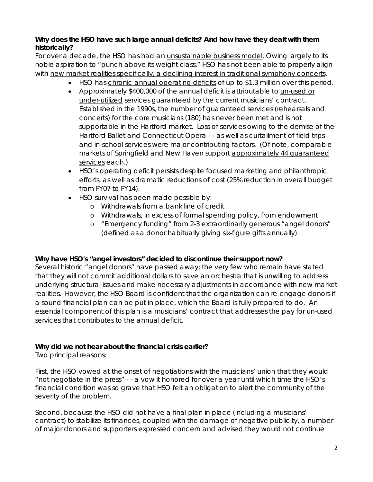# **Why does the HSO have such large annual deficits? And how have they dealt with them historically?**

For over a decade, the HSO has had an unsustainable business model. Owing largely to its noble aspiration to "punch above its weight class," HSO has not been able to properly align with new market realities specifically, a declining interest in traditional symphony concerts.

- HSO has chronic annual operating deficits of up to \$1.3 million over this period.
- Approximately \$400,000 of the annual deficit is attributable to un-used or under-utilized services guaranteed by the current musicians' contract. Established in the 1990s, the number of guaranteed services (rehearsals and concerts) for the core musicians (180) has never been met and is not supportable in the Hartford market. Loss of services owing to the demise of the Hartford Ballet and Connecticut Opera - - as well as curtailment of field trips and in-school services were major contributing factors. (Of note, comparable markets of Springfield and New Haven support approximately 44 guaranteed services each.)
- HSO's operating deficit persists despite focused marketing and philanthropic efforts, as well as dramatic reductions of cost (25% reduction in overall budget from FY07 to FY14).
- HSO survival has been made possible by:
	- o Withdrawals from a bank line of credit
	- o Withdrawals, in excess of formal spending policy, from endowment
	- o "Emergency funding" from 2-3 extraordinarily generous "angel donors" (defined as a donor habitually giving six-figure gifts annually).

# **Why have HSO's "angel investors" decided to discontinue their support now?**

Several historic "angel donors" have passed away; the very few who remain have stated that they will not commit additional dollars to save an orchestra that is unwilling to address underlying structural issues and make necessary adjustments in accordance with new market realities. However, the HSO Board is confident that the organization can re-engage donors if a sound financial plan can be put in place, which the Board is fully prepared to do. An essential component of this plan is a musicians' contract that addresses the pay for un-used services that contributes to the annual deficit.

# **Why did we not hear about the financial crisis earlier?**

Two principal reasons:

First, the HSO vowed at the onset of negotiations with the musicians' union that they would "not negotiate in the press" - - a vow it honored for over a year until which time the HSO's financial condition was so grave that HSO felt an obligation to alert the community of the severity of the problem.

Second, because the HSO did not have a final plan in place (including a musicians' contract) to stabilize its finances, coupled with the damage of negative publicity, a number of major donors and supporters expressed concern and advised they would not continue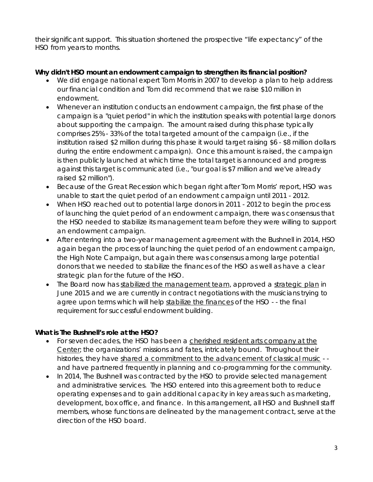their significant support. This situation shortened the prospective "life expectancy" of the HSO from years to months.

# **Why didn't HSO mount an endowment campaign to strengthen its financial position?**

- We did engage national expert Tom Morris in 2007 to develop a plan to help address our financial condition and Tom did recommend that we raise \$10 million in endowment.
- Whenever an institution conducts an endowment campaign, the first phase of the campaign is a "quiet period" in which the institution speaks with potential large donors about supporting the campaign. The amount raised during this phase typically comprises 25% - 33% of the total targeted amount of the campaign (i.e., if the institution raised \$2 million during this phase it would target raising \$6 - \$8 million dollars during the entire endowment campaign). Once this amount is raised, the campaign is then publicly launched at which time the total target is announced and progress against this target is communicated (i.e., "our goal is \$7 million and we've already raised \$2 million").
- Because of the Great Recession which began right after Tom Morris' report, HSO was unable to start the quiet period of an endowment campaign until 2011 - 2012.
- When HSO reached out to potential large donors in 2011 2012 to begin the process of launching the quiet period of an endowment campaign, there was consensus that the HSO needed to stabilize its management team before they were willing to support an endowment campaign.
- After entering into a two-year management agreement with the Bushnell in 2014, HSO again began the process of launching the quiet period of an endowment campaign, the High Note Campaign, but again there was consensus among large potential donors that we needed to stabilize the finances of the HSO as well as have a clear strategic plan for the future of the HSO.
- The Board now has stabilized the management team, approved a strategic plan in June 2015 and we are currently in contract negotiations with the musicians trying to agree upon terms which will help stabilize the finances of the HSO - - the final requirement for successful endowment building.

# **What is The Bushnell's role at the HSO?**

- For seven decades, the HSO has been a cherished resident arts company at the Center; the organizations' missions and fates, intricately bound. Throughout their histories, they have shared a commitment to the advancement of classical music - and have partnered frequently in planning and co-programming for the community.
- In 2014, The Bushnell was contracted by the HSO to provide selected management and administrative services. The HSO entered into this agreement both to reduce operating expenses and to gain additional capacity in key areas such as marketing, development, box office, and finance. In this arrangement, all HSO and Bushnell staff members, whose functions are delineated by the management contract, serve at the direction of the HSO board.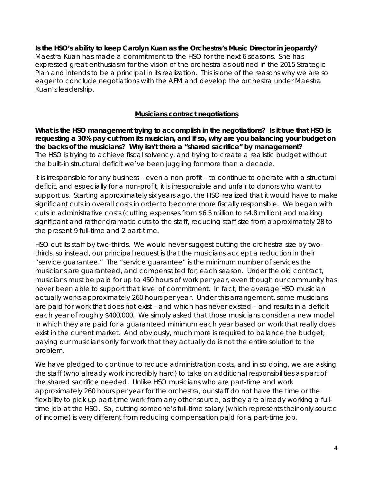**Is the HSO's ability to keep Carolyn Kuan as the Orchestra's Music Director in jeopardy?** Maestra Kuan has made a commitment to the HSO for the next 6 seasons. She has expressed great enthusiasm for the vision of the orchestra as outlined in the 2015 Strategic Plan and intends to be a principal in its realization. This is one of the reasons why we are so eager to conclude negotiations with the AFM and develop the orchestra under Maestra Kuan's leadership.

# **Musicians contract negotiations**

**What is the HSO management trying to accomplish in the negotiations? Is it true that HSO is requesting a 30% pay cut from its musician, and if so, why are you balancing your budget on the backs of the musicians? Why isn't there a "shared sacrifice" by management?** The HSO is trying to achieve fiscal solvency, and trying to create a realistic budget without the built-in structural deficit we've been juggling for more than a decade.

It is irresponsible for any business – even a non-profit – to continue to operate with a structural deficit, and especially for a non-profit, it is irresponsible and unfair to donors who want to support us. Starting approximately six years ago, the HSO realized that it would have to make significant cuts in overall costs in order to become more fiscally responsible. We began with cuts in administrative costs (cutting expenses from \$6.5 million to \$4.8 million) and making significant and rather dramatic cuts to the staff, reducing staff size from approximately 28 to the present 9 full-time and 2 part-time.

HSO cut its staff by two-thirds. We would never suggest cutting the orchestra size by twothirds, so instead, our principal request is that the musicians accept a reduction in their "service guarantee." The "service guarantee" is the minimum number of services the musicians are guaranteed, and compensated for, each season. Under the old contract, musicians must be paid for up to 450 hours of work per year, even though our community has never been able to support that level of commitment. In fact, the average HSO musician actually works approximately 260 hours per year. Under this arrangement, some musicians are paid for work that does not exist – and which has never existed – and results in a deficit each year of roughly \$400,000. We simply asked that those musicians consider a new model in which they are paid for a guaranteed minimum each year based on work that really does exist in the current market. And obviously, much more is required to balance the budget; paying our musicians only for work that they actually do is not the entire solution to the problem.

We have pledged to continue to reduce administration costs, and in so doing, we are asking the staff (who already work incredibly hard) to take on additional responsibilities as part of the shared sacrifice needed. Unlike HSO musicians who are part-time and work approximately 260 hours per year for the orchestra, our staff do not have the time or the flexibility to pick up part-time work from any other source, as they are already working a fulltime job at the HSO. So, cutting someone's full-time salary (which represents their only source of income) is very different from reducing compensation paid for a part-time job.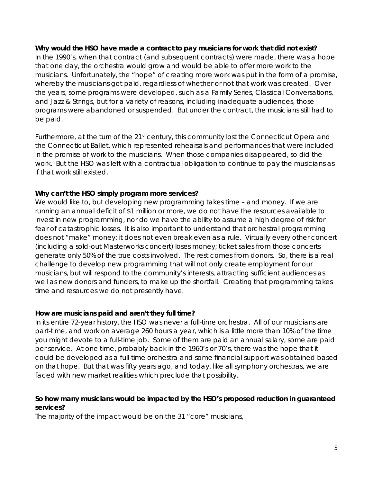#### **Why would the HSO have made a contract to pay musicians for work that did not exist?**

In the 1990's, when that contract (and subsequent contracts) were made, there was a hope that one day, the orchestra would grow and would be able to offer more work to the musicians. Unfortunately, the "hope" of creating more work was put in the form of a promise, whereby the musicians got paid, regardless of whether or not that work was created. Over the years, some programs were developed, such as a Family Series, Classical Conversations, and Jazz & Strings, but for a variety of reasons, including inadequate audiences, those programs were abandoned or suspended. But under the contract, the musicians still had to be paid.

Furthermore, at the turn of the 21<sup>st</sup> century, this community lost the Connecticut Opera and the Connecticut Ballet, which represented rehearsals and performances that were included in the promise of work to the musicians. When those companies disappeared, so did the work. But the HSO was left with a contractual obligation to continue to pay the musicians as if that work still existed.

# **Why can't the HSO simply program more services?**

We would like to, but developing new programming takes time – and money. If we are running an annual deficit of \$1 million or more, we do not have the resources available to invest in new programming, nor do we have the ability to assume a high degree of risk for fear of catastrophic losses. It is also important to understand that orchestral programming does not "make" money; it does not even break even as a rule. Virtually every other concert (including a sold-out Masterworks concert) loses money; ticket sales from those concerts generate only 50% of the true costs involved. The rest comes from donors. So, there is a real challenge to develop new programming that will not only create employment for our musicians, but will respond to the community's interests, attracting sufficient audiences as well as new donors and funders, to make up the shortfall. Creating that programming takes time and resources we do not presently have.

#### **How are musicians paid and aren't they full time?**

In its entire 72-year history, the HSO was never a full-time orchestra. All of our musicians are part-time, and work on average 260 hours a year, which is a little more than 10% of the time you might devote to a full-time job. Some of them are paid an annual salary, some are paid per service. At one time, probably back in the 1960's or 70's, there was the hope that it could be developed as a full-time orchestra and some financial support was obtained based on that hope. But that was fifty years ago, and today, like all symphony orchestras, we are faced with new market realities which preclude that possibility.

# **So how many musicians would be impacted by the HSO's proposed reduction in guaranteed services?**

The majority of the impact would be on the 31 "core" musicians,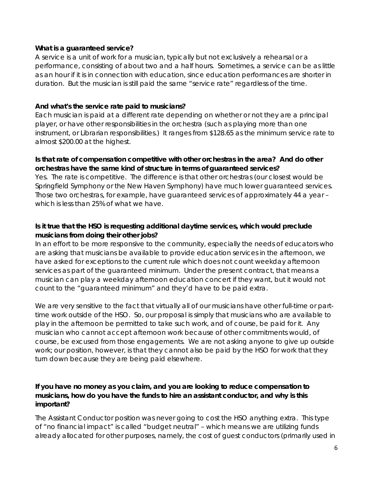#### **What is a guaranteed service?**

A service is a unit of work for a musician, typically but not exclusively a rehearsal or a performance, consisting of about two and a half hours. Sometimes, a service can be as little as an hour if it is in connection with education, since education performances are shorter in duration. But the musician is still paid the same "service rate" regardless of the time.

### **And what's the service rate paid to musicians?**

Each musician is paid at a different rate depending on whether or not they are a principal player, or have other responsibilities in the orchestra (such as playing more than one instrument, or Librarian responsibilities.) It ranges from \$128.65 as the minimum service rate to almost \$200.00 at the highest.

# **Is that rate of compensation competitive with other orchestras in the area? And do other orchestras have the same kind of structure in terms of guaranteed services?**

Yes. The rate is competitive. The difference is that other orchestras (our closest would be Springfield Symphony or the New Haven Symphony) have much lower guaranteed services. Those two orchestras, for example, have guaranteed services of approximately 44 a year – which is less than 25% of what we have.

# **Is it true that the HSO is requesting additional daytime services, which would preclude musicians from doing their other jobs?**

In an effort to be more responsive to the community, especially the needs of educators who are asking that musicians be available to provide education services in the afternoon, we have asked for exceptions to the current rule which does not count weekday afternoon services as part of the guaranteed minimum. Under the present contract, that means a musician can play a weekday afternoon education concert if they want, but it would not count to the "guaranteed minimum" and they'd have to be paid extra.

We are very sensitive to the fact that virtually all of our musicians have other full-time or parttime work outside of the HSO. So, our proposal is simply that musicians who are available to play in the afternoon be permitted to take such work, and of course, be paid for it. Any musician who cannot accept afternoon work because of other commitments would, of course, be excused from those engagements. We are not asking anyone to give up outside work; our position, however, is that they cannot also be paid by the HSO for work that they turn down because they are being paid elsewhere.

# **If you have no money as you claim, and you are looking to reduce compensation to musicians, how do you have the funds to hire an assistant conductor, and why is this important?**

The Assistant Conductor position was never going to cost the HSO anything extra. This type of "no financial impact" is called "budget neutral" – which means we are utilizing funds already allocated for other purposes, namely, the cost of guest conductors (primarily used in